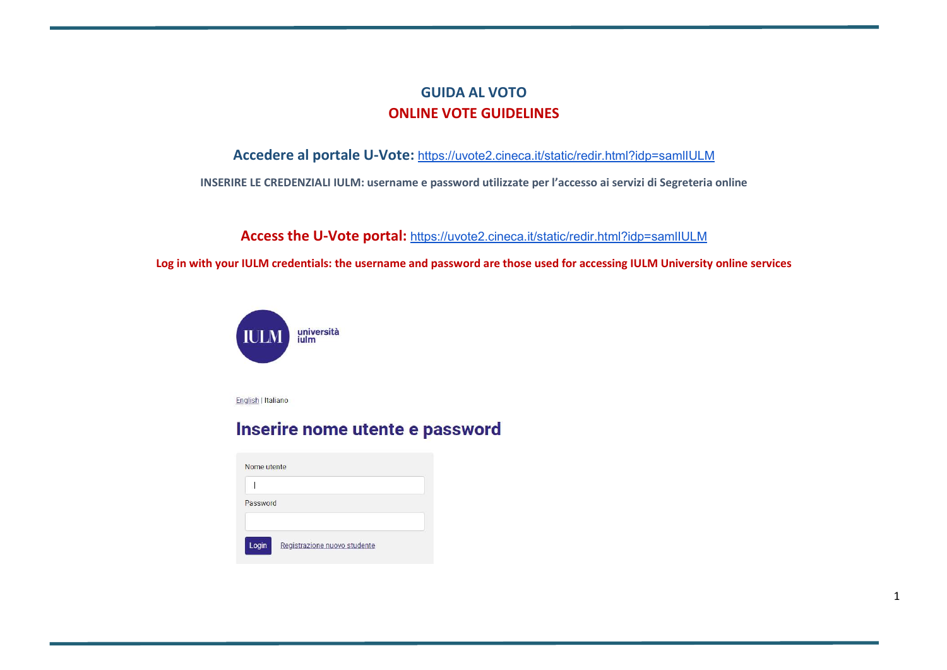## GUIDA AL VOTO ONLINE VOTE GUIDELINES

## Accedere al portale U-Vote: https://uvote2.cineca.it/static/redir.html?idp=samlIULM

INSERIRE LE CREDENZIALI IULM: username e password utilizzate per l'accesso ai servizi di Segreteria online

Access the U-Vote portal: https://uvote2.cineca.it/static/redir.html?idp=samIIULM

Log in with your IULM credentials: the username and password are those used for accessing IULM University online services



English | Italiano

# Inserire nome utente e password

| Nome utente |                              |
|-------------|------------------------------|
|             |                              |
| Password    |                              |
| Login       | Registrazione nuovo studente |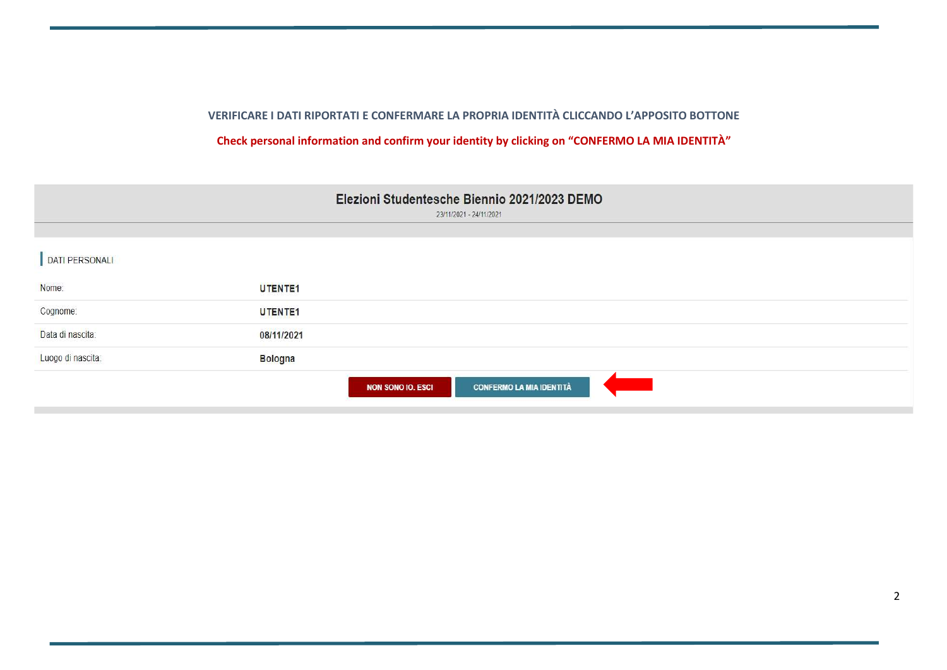## VERIFICARE I DATI RIPORTATI E CONFERMARE LA PROPRIA IDENTITÀ CLICCANDO L'APPOSITO BOTTONE

## Check personal information and confirm your identity by clicking on "CONFERMO LA MIA IDENTITÀ"

| Elezioni Studentesche Biennio 2021/2023 DEMO<br>23/11/2021 - 24/11/2021 |                |                                                             |  |
|-------------------------------------------------------------------------|----------------|-------------------------------------------------------------|--|
|                                                                         |                |                                                             |  |
| DATI PERSONALI                                                          |                |                                                             |  |
| Nome:                                                                   | <b>UTENTE1</b> |                                                             |  |
| Cognome:                                                                | UTENTE1        |                                                             |  |
| Data di nascita:                                                        | 08/11/2021     |                                                             |  |
| Luogo di nascita:                                                       | <b>Bologna</b> |                                                             |  |
|                                                                         |                | <b>CONFERMO LA MIA IDENTITÀ</b><br><b>NON SONO IO. ESCI</b> |  |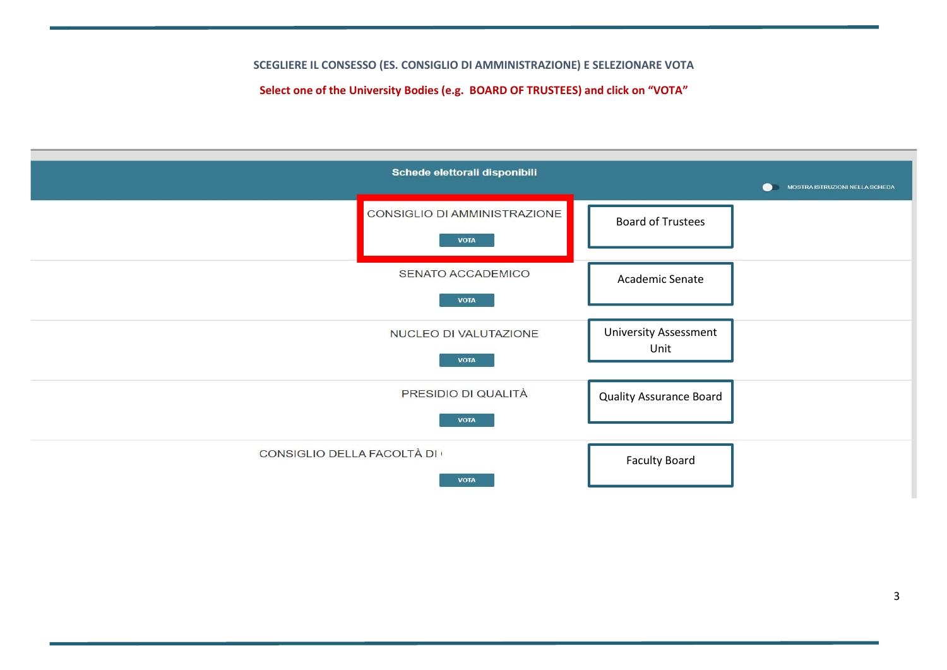SCEGLIERE IL CONSESSO (ES. CONSIGLIO DI AMMINISTRAZIONE) E SELEZIONARE VOTA

Select one of the University Bodies (e.g. BOARD OF TRUSTEES) and click on "VOTA"

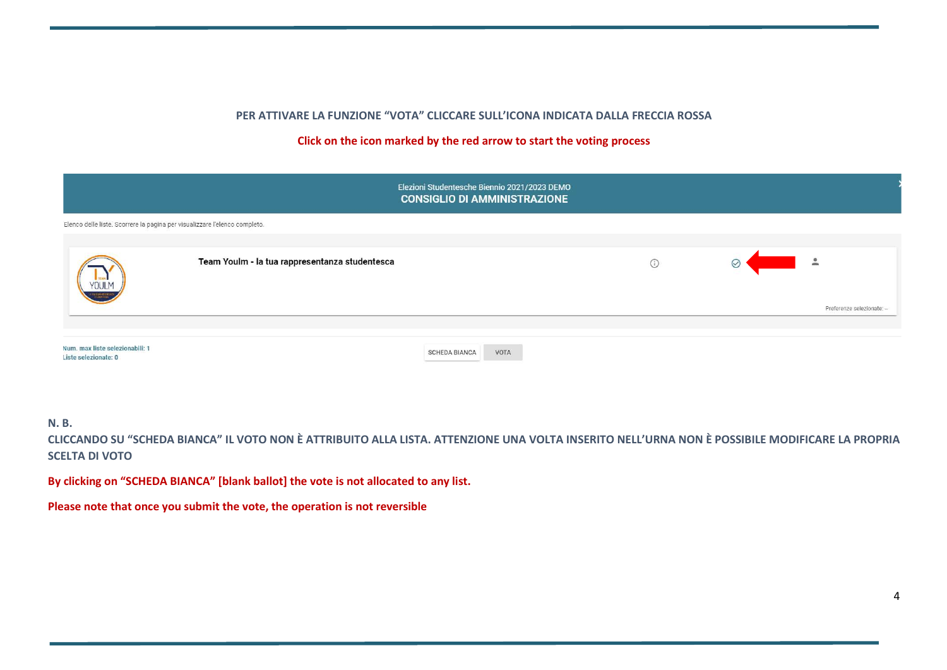#### PER ATTIVARE LA FUNZIONE "VOTA" CLICCARE SULL'ICONA INDICATA DALLA FRECCIA ROSSA

#### Click on the icon marked by the red arrow to start the voting process

|                                                                            |                                                | Elezioni Studentesche Biennio 2021/2023 DEMO<br><b>CONSIGLIO DI AMMINISTRAZIONE</b> |         |              |                            |
|----------------------------------------------------------------------------|------------------------------------------------|-------------------------------------------------------------------------------------|---------|--------------|----------------------------|
| Elenco delle liste. Scorrere la pagina per visualizzare l'elenco completo. |                                                |                                                                                     |         |              |                            |
| <b>YOULM</b>                                                               | Team Youlm - la tua rappresentanza studentesca |                                                                                     | $\odot$ | $\heartsuit$ | $\tilde{=}$                |
| <b>THE ALBERTA WAY</b>                                                     |                                                |                                                                                     |         |              | Preferenze selezionate: -- |
| Num. max liste selezionabili: 1<br>Liste selezionate: 0                    |                                                | <b>SCHEDA BIANCA</b><br>VOTA                                                        |         |              |                            |

#### N. B.

CLICCANDO SU "SCHEDA BIANCA" IL VOTO NON È ATTRIBUITO ALLA LISTA. ATTENZIONE UNA VOLTA INSERITO NELL'URNA NON È POSSIBILE MODIFICARE LA PROPRIA SCELTA DI VOTO

By clicking on "SCHEDA BIANCA" [blank ballot] the vote is not allocated to any list.

Please note that once you submit the vote, the operation is not reversible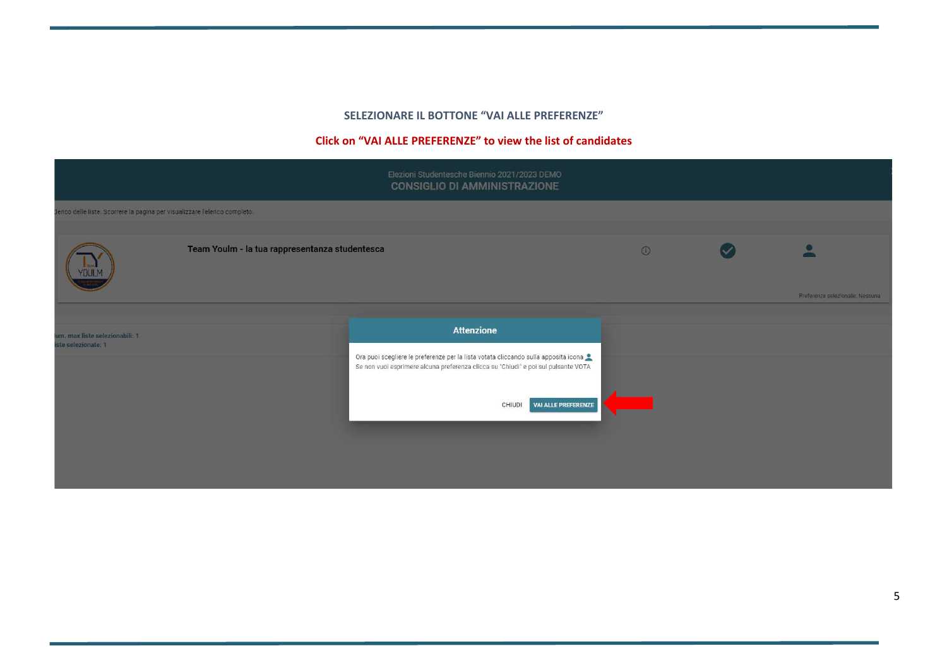#### SELEZIONARE IL BOTTONE "VAI ALLE PREFERENZE"

#### Click on "VAI ALLE PREFERENZE" to view the list of candidates

|                                                                           |  | Elezioni Studentesche Biennio 2021/2023 DEMO<br><b>CONSIGLIO DI AMMINISTRAZIONE</b>                                                                                       |  |                                 |
|---------------------------------------------------------------------------|--|---------------------------------------------------------------------------------------------------------------------------------------------------------------------------|--|---------------------------------|
| Henco delle liste. Scorrere la pagina per visualizzare l'elenco completo. |  |                                                                                                                                                                           |  |                                 |
| Team Youlm - la tua rappresentanza studentesca                            |  | $\odot$                                                                                                                                                                   |  |                                 |
|                                                                           |  |                                                                                                                                                                           |  | Preferenze selezionate: Nessuna |
|                                                                           |  |                                                                                                                                                                           |  |                                 |
| um. max liste selezionabili: 1<br>iste selezionate: 1                     |  | <b>Attenzione</b>                                                                                                                                                         |  |                                 |
|                                                                           |  | Ora puoi scegliere le preferenze per la lista votata cliccando sulla apposita icona<br>Se non vuoi esprimere alcuna preferenza clicca su "Chiudi" e poi sul pulsante VOTA |  |                                 |
|                                                                           |  | VAI ALLE PREFERENZE<br><b>CHIUDI</b>                                                                                                                                      |  |                                 |
|                                                                           |  |                                                                                                                                                                           |  |                                 |
|                                                                           |  |                                                                                                                                                                           |  |                                 |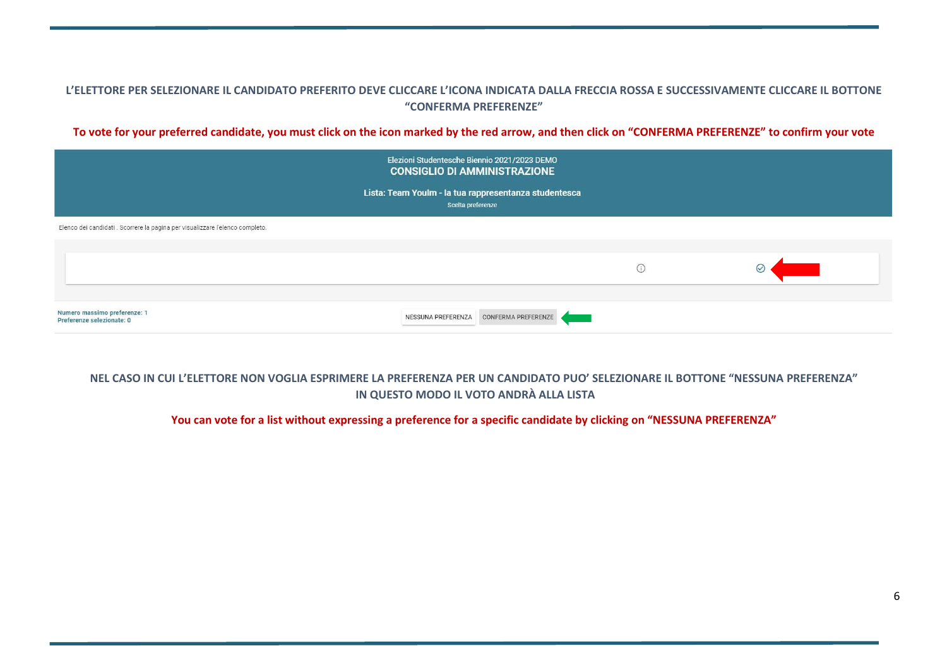#### L'ELETTORE PER SELEZIONARE IL CANDIDATO PREFERITO DEVE CLICCARE L'ICONA INDICATA DALLA FRECCIA ROSSA E SUCCESSIVAMENTE CLICCARE IL BOTTONE "CONFERMA PREFERENZE"

To vote for your preferred candidate, you must click on the icon marked by the red arrow, and then click on "CONFERMA PREFERENZE" to confirm your vote

|                                                                               | Elezioni Studentesche Biennio 2021/2023 DEMO<br><b>CONSIGLIO DI AMMINISTRAZIONE</b> |         |  |
|-------------------------------------------------------------------------------|-------------------------------------------------------------------------------------|---------|--|
|                                                                               | Lista: Team Youlm - la tua rappresentanza studentesca<br>Scelta preferenze          |         |  |
| Elenco dei candidati . Scorrere la pagina per visualizzare l'elenco completo. |                                                                                     |         |  |
|                                                                               |                                                                                     | $\odot$ |  |
| Numero massimo preferenze: 1<br>Preferenze selezionate: 0                     | NESSUNA PREFERENZA CONFERMA PREFERENZE                                              |         |  |

### NEL CASO IN CUI L'ELETTORE NON VOGLIA ESPRIMERE LA PREFERENZA PER UN CANDIDATO PUO' SELEZIONARE IL BOTTONE "NESSUNA PREFERENZA" IN QUESTO MODO IL VOTO ANDRÀ ALLA LISTA

#### You can vote for a list without expressing a preference for a specific candidate by clicking on "NESSUNA PREFERENZA"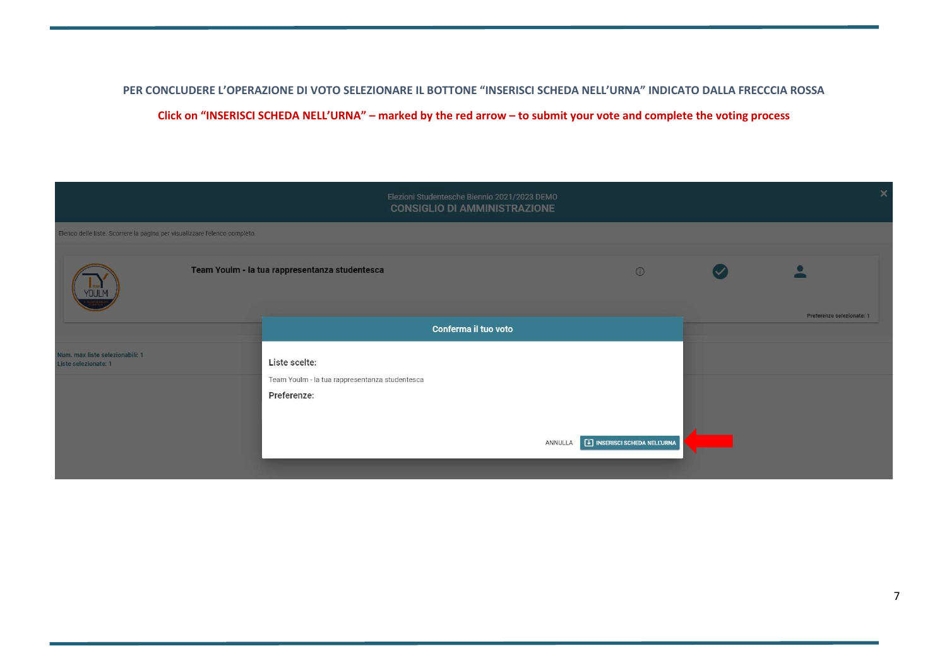PER CONCLUDERE L'OPERAZIONE DI VOTO SELEZIONARE IL BOTTONE "INSERISCI SCHEDA NELL'URNA" INDICATO DALLA FRECCCIA ROSSA Click on "INSERISCI SCHEDA NELL'URNA" – marked by the red arrow – to submit your vote and complete the voting process

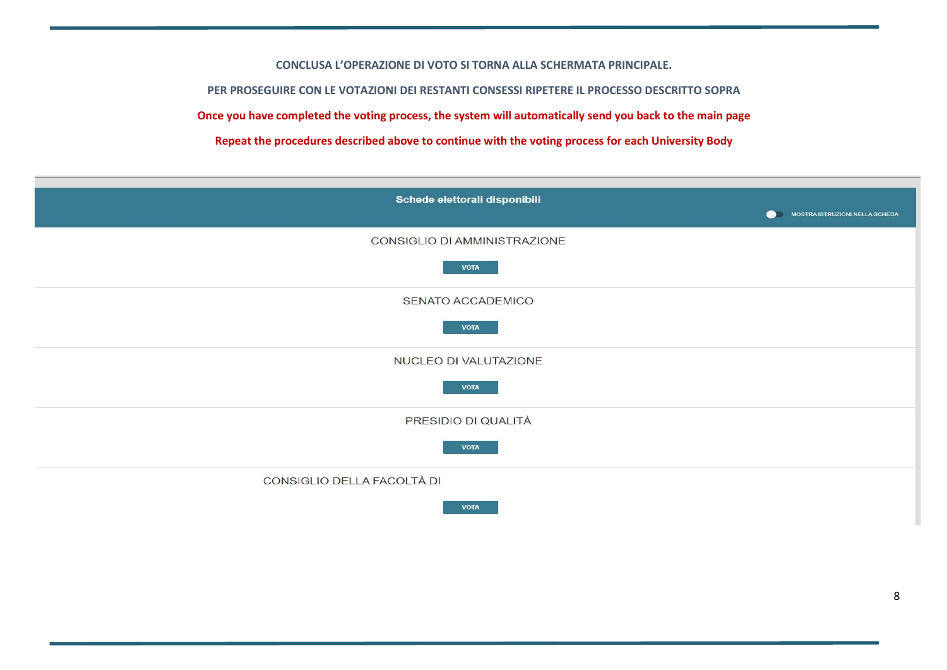CONCLUSA L'OPERAZIONE DI VOTO SI TORNA ALLA SCHERMATA PRINCIPALE.

PER PROSEGUIRE CON LE VOTAZIONI DEI RESTANTI CONSESSI RIPETERE IL PROCESSO DESCRITTO SOPRA

Once you have completed the voting process, the system will automatically send you back to the main page

Repeat the procedures described above to continue with the voting process for each University Body

| Schede elettorali disponibili<br>MOSTRA ISTRUZIONI NELLA SCHEDA<br>$\bullet$ |
|------------------------------------------------------------------------------|
| CONSIGLIO DI AMMINISTRAZIONE<br><b>VOTA</b>                                  |
| SENATO ACCADEMICO<br><b>VOTA</b>                                             |
| NUCLEO DI VALUTAZIONE<br><b>VOTA</b>                                         |
| PRESIDIO DI QUALITÀ<br><b>VOTA</b>                                           |
| CONSIGLIO DELLA FACOLTÀ DI<br><b>VOTA</b>                                    |